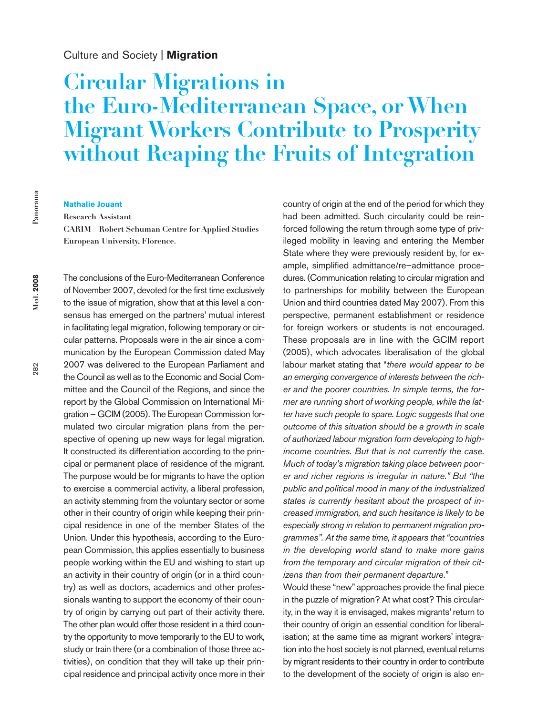# Culture and Society | **Migration**

# **Circular Migrations in the Euro-Mediterranean Space, or When Migrant Workers Contribute to Prosperity without Reaping the Fruits of Integration**

#### **Nathalie Jouant**

**Research Assistant**

**CARIM – Robert Schuman Centre for Applied Studies – European University, Florence.**

The conclusions of the Euro-Mediterranean Conference of November 2007, devoted for the first time exclusively to the issue of migration, show that at this level a consensus has emerged on the partners' mutual interest in facilitating legal migration, following temporary or circular patterns. Proposals were in the air since a communication by the European Commission dated May 2007 was delivered to the European Parliament and the Council as well as to the Economic and Social Committee and the Council of the Regions, and since the report by the Global Commission on International Migration – GCIM (2005). The European Commission formulated two circular migration plans from the perspective of opening up new ways for legal migration. It constructed its differentiation according to the principal or permanent place of residence of the migrant. The purpose would be for migrants to have the option to exercise a commercial activity, a liberal profession, an activity stemming from the voluntary sector or some other in their country of origin while keeping their principal residence in one of the member States of the Union. Under this hypothesis, according to the European Commission, this applies essentially to business people working within the EU and wishing to start up an activity in their country of origin (or in a third country) as well as doctors, academics and other professionals wanting to support the economy of their country of origin by carrying out part of their activity there. The other plan would offer those resident in a third country the opportunity to move temporarily to the EU to work, study or train there (or a combination of those three activities), on condition that they will take up their principal residence and principal activity once more in their

country of origin at the end of the period for which they had been admitted. Such circularity could be reinforced following the return through some type of privileged mobility in leaving and entering the Member State where they were previously resident by, for example, simplified admittance/re–admittance procedures. (Communication relating to circular migration and to partnerships for mobility between the European Union and third countries dated May 2007). From this perspective, permanent establishment or residence for foreign workers or students is not encouraged. These proposals are in line with the GCIM report (2005), which advocates liberalisation of the global labour market stating that "*there would appear to be an emerging convergence of interests between the richer and the poorer countries. In simple terms, the former are running short of working people, while the latter have such people to spare. Logic suggests that one outcome of this situation should be a growth in scale of authorized labour migration form developing to highincome countries. But that is not currently the case. Much of today's migration taking place between poorer and richer regions is irregular in nature." But "the public and political mood in many of the industrialized states is currently hesitant about the prospect of increased immigration, and such hesitance is likely to be especially strong in relation to permanent migration programmes". At the same time, it appears that "countries in the developing world stand to make more gains from the temporary and circular migration of their citizens than from their permanent departure*."

Would these "new" approaches provide the final piece in the puzzle of migration? At what cost? This circularity, in the way it is envisaged, makes migrants'return to their country of origin an essential condition for liberalisation; at the same time as migrant workers' integration into the host society is not planned, eventual returns by migrant residents to their country in order to contribute to the development of the society of origin is also en-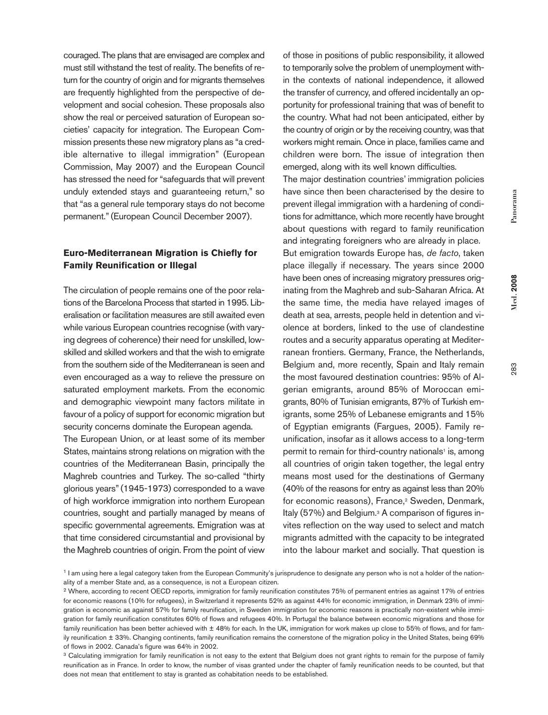283

couraged. The plans that are envisaged are complex and must still withstand the test of reality. The benefits of return for the country of origin and for migrants themselves are frequently highlighted from the perspective of development and social cohesion. These proposals also show the real or perceived saturation of European societies' capacity for integration. The European Commission presents these new migratory plans as "a credible alternative to illegal immigration" (European Commission, May 2007) and the European Council has stressed the need for "safeguards that will prevent unduly extended stays and guaranteeing return," so that "as a general rule temporary stays do not become permanent." (European Council December 2007).

# **Euro-Mediterranean Migration is Chiefly for Family Reunification or Illegal**

The circulation of people remains one of the poor relations of the Barcelona Process that started in 1995. Liberalisation or facilitation measures are still awaited even while various European countries recognise (with varying degrees of coherence) their need for unskilled, lowskilled and skilled workers and that the wish to emigrate from the southern side of the Mediterranean is seen and even encouraged as a way to relieve the pressure on saturated employment markets. From the economic and demographic viewpoint many factors militate in favour of a policy of support for economic migration but security concerns dominate the European agenda.

The European Union, or at least some of its member States, maintains strong relations on migration with the countries of the Mediterranean Basin, principally the Maghreb countries and Turkey. The so-called "thirty glorious years"(1945-1973) corresponded to a wave of high workforce immigration into northern European countries, sought and partially managed by means of specific governmental agreements. Emigration was at that time considered circumstantial and provisional by the Maghreb countries of origin. From the point of view

of those in positions of public responsibility, it allowed to temporarily solve the problem of unemployment within the contexts of national independence, it allowed the transfer of currency, and offered incidentally an opportunity for professional training that was of benefit to the country. What had not been anticipated, either by the country of origin or by the receiving country, was that workers might remain. Once in place, families came and children were born. The issue of integration then emerged, along with its well known difficulties.

The major destination countries' immigration policies have since then been characterised by the desire to prevent illegal immigration with a hardening of conditions for admittance, which more recently have brought about questions with regard to family reunification and integrating foreigners who are already in place. But emigration towards Europe has, *de facto*, taken place illegally if necessary. The years since 2000 have been ones of increasing migratory pressures originating from the Maghreb and sub-Saharan Africa. At the same time, the media have relayed images of death at sea, arrests, people held in detention and violence at borders, linked to the use of clandestine routes and a security apparatus operating at Mediterranean frontiers. Germany, France, the Netherlands, Belgium and, more recently, Spain and Italy remain the most favoured destination countries: 95% of Algerian emigrants, around 85% of Moroccan emigrants, 80% of Tunisian emigrants, 87% of Turkish emigrants, some 25% of Lebanese emigrants and 15% of Egyptian emigrants (Fargues, 2005). Family reunification, insofar as it allows access to a long-term permit to remain for third-country nationals<sup>1</sup> is, among all countries of origin taken together, the legal entry means most used for the destinations of Germany (40% of the reasons for entry as against less than 20% for economic reasons), France, <sup>2</sup> Sweden, Denmark, Italy (57%) and Belgium. <sup>3</sup> A comparison of figures invites reflection on the way used to select and match migrants admitted with the capacity to be integrated into the labour market and socially. That question is

<sup>1</sup> I am using here a legal category taken from the European Community's jurisprudence to designate any person who is not a holder of the nationality of a member State and, as a consequence, is not a European citizen.

<sup>2</sup> Where, according to recent OECD reports, immigration for family reunification constitutes 75% of permanent entries as against 17% of entries for economic reasons (10% for refugees), in Switzerland it represents 52% as against 44% for economic immigration, in Denmark 23% of immigration is economic as against 57% for family reunification, in Sweden immigration for economic reasons is practically non-existent while immigration for family reunification constitutes 60% of flows and refugees 40%. In Portugal the balance between economic migrations and those for family reunification has been better achieved with  $\pm$  48% for each. In the UK, immigration for work makes up close to 55% of flows, and for family reunification ± 33%. Changing continents, family reunification remains the cornerstone of the migration policy in the United States, being 69% of flows in 2002. Canada's figure was 64% in 2002.

<sup>&</sup>lt;sup>3</sup> Calculating immigration for family reunification is not easy to the extent that Belgium does not grant rights to remain for the purpose of family reunification as in France. In order to know, the number of visas granted under the chapter of family reunification needs to be counted, but that does not mean that entitlement to stay is granted as cohabitation needs to be established.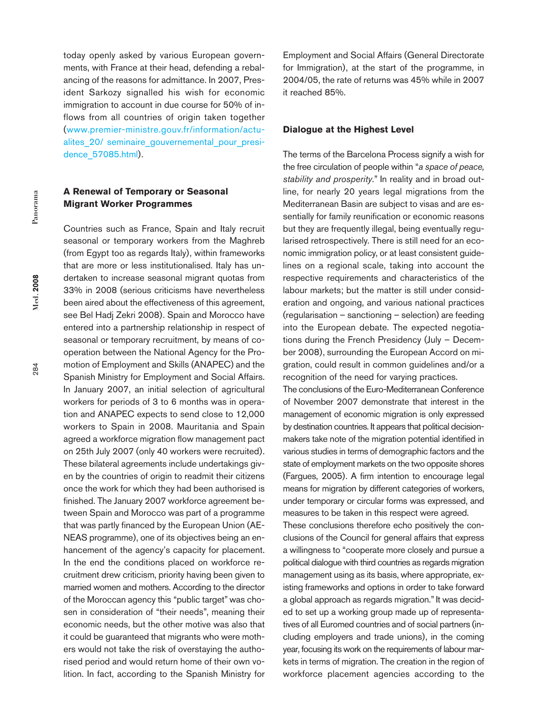today openly asked by various European governments, with France at their head, defending a rebalancing of the reasons for admittance. In 2007, President Sarkozy signalled his wish for economic immigration to account in due course for 50% of inflows from all countries of origin taken together (www.premier-ministre.gouv.fr/information/actualites 20/ seminaire gouvernemental pour presidence\_57085.html).

## **A Renewal of Temporary or Seasonal Migrant Worker Programmes**

Countries such as France, Spain and Italy recruit seasonal or temporary workers from the Maghreb (from Egypt too as regards Italy), within frameworks that are more or less institutionalised. Italy has undertaken to increase seasonal migrant quotas from 33% in 2008 (serious criticisms have nevertheless been aired about the effectiveness of this agreement, see Bel Hadj Zekri 2008). Spain and Morocco have entered into a partnership relationship in respect of seasonal or temporary recruitment, by means of cooperation between the National Agency for the Promotion of Employment and Skills (ANAPEC) and the Spanish Ministry for Employment and Social Affairs. In January 2007, an initial selection of agricultural workers for periods of 3 to 6 months was in operation and ANAPEC expects to send close to 12,000 workers to Spain in 2008. Mauritania and Spain agreed a workforce migration flow management pact on 25th July 2007 (only 40 workers were recruited). These bilateral agreements include undertakings given by the countries of origin to readmit their citizens once the work for which they had been authorised is finished. The January 2007 workforce agreement between Spain and Morocco was part of a programme that was partly financed by the European Union (AE-NEAS programme), one of its objectives being an enhancement of the agency's capacity for placement. In the end the conditions placed on workforce recruitment drew criticism, priority having been given to married women and mothers. According to the director of the Moroccan agency this "public target" was chosen in consideration of "their needs", meaning their economic needs, but the other motive was also that it could be guaranteed that migrants who were mothers would not take the risk of overstaying the authorised period and would return home of their own volition. In fact, according to the Spanish Ministry for Employment and Social Affairs (General Directorate for Immigration), at the start of the programme, in 2004/05, the rate of returns was 45% while in 2007 it reached 85%.

### **Dialogue at the Highest Level**

The terms of the Barcelona Process signify a wish for the free circulation of people within "*a space of peace, stability and prosperity*." In reality and in broad outline, for nearly 20 years legal migrations from the Mediterranean Basin are subject to visas and are essentially for family reunification or economic reasons but they are frequently illegal, being eventually regularised retrospectively. There is still need for an economic immigration policy, or at least consistent guidelines on a regional scale, taking into account the respective requirements and characteristics of the labour markets; but the matter is still under consideration and ongoing, and various national practices (regularisation – sanctioning – selection) are feeding into the European debate. The expected negotiations during the French Presidency (July – December 2008), surrounding the European Accord on migration, could result in common guidelines and/or a recognition of the need for varying practices.

The conclusions of the Euro-Mediterranean Conference of November 2007 demonstrate that interest in the management of economic migration is only expressed by destination countries. It appears that political decisionmakers take note of the migration potential identified in various studies in terms of demographic factors and the state of employment markets on the two opposite shores (Fargues, 2005). A firm intention to encourage legal means for migration by different categories of workers, under temporary or circular forms was expressed, and measures to be taken in this respect were agreed.

These conclusions therefore echo positively the conclusions of the Council for general affairs that express a willingness to "cooperate more closely and pursue a political dialogue with third countries as regards migration management using as its basis, where appropriate, existing frameworks and options in order to take forward a global approach as regards migration." It was decided to set up a working group made up of representatives of all Euromed countries and of social partners (including employers and trade unions), in the coming year, focusing its work on the requirements of labour markets in terms of migration. The creation in the region of workforce placement agencies according to the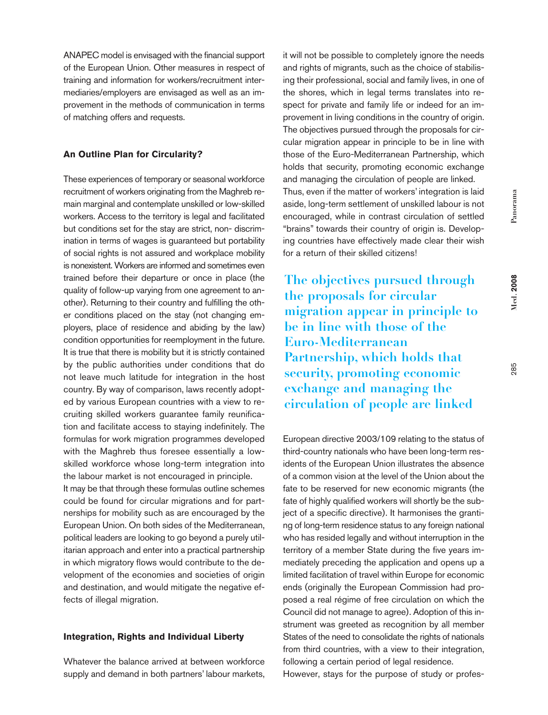ANAPEC model is envisaged with the financial support of the European Union. Other measures in respect of training and information for workers/recruitment intermediaries/employers are envisaged as well as an improvement in the methods of communication in terms of matching offers and requests.

## **An Outline Plan for Circularity?**

These experiences of temporary or seasonal workforce recruitment of workers originating from the Maghreb remain marginal and contemplate unskilled or low-skilled workers. Access to the territory is legal and facilitated but conditions set for the stay are strict, non- discrimination in terms of wages is guaranteed but portability of social rights is not assured and workplace mobility is nonexistent.Workers are informed and sometimes even trained before their departure or once in place (the quality of follow-up varying from one agreement to another). Returning to their country and fulfilling the other conditions placed on the stay (not changing employers, place of residence and abiding by the law) condition opportunities for reemployment in the future. It is true that there is mobility but it is strictly contained by the public authorities under conditions that do not leave much latitude for integration in the host country. By way of comparison, laws recently adopted by various European countries with a view to recruiting skilled workers guarantee family reunification and facilitate access to staying indefinitely. The formulas for work migration programmes developed with the Maghreb thus foresee essentially a lowskilled workforce whose long-term integration into the labour market is not encouraged in principle. It may be that through these formulas outline schemes

could be found for circular migrations and for partnerships for mobility such as are encouraged by the European Union. On both sides of the Mediterranean, political leaders are looking to go beyond a purely utilitarian approach and enter into a practical partnership in which migratory flows would contribute to the development of the economies and societies of origin and destination, and would mitigate the negative effects of illegal migration.

## **Integration, Rights and Individual Liberty**

Whatever the balance arrived at between workforce supply and demand in both partners' labour markets, it will not be possible to completely ignore the needs and rights of migrants, such as the choice of stabilising their professional, social and family lives, in one of the shores, which in legal terms translates into respect for private and family life or indeed for an improvement in living conditions in the country of origin. The objectives pursued through the proposals for circular migration appear in principle to be in line with those of the Euro-Mediterranean Partnership, which holds that security, promoting economic exchange and managing the circulation of people are linked. Thus, even if the matter of workers' integration is laid aside, long-term settlement of unskilled labour is not encouraged, while in contrast circulation of settled "brains" towards their country of origin is. Developing countries have effectively made clear their wish for a return of their skilled citizens!

**The objectives pursued through the proposals for circular migration appear in principle to be in line with those of the Euro-Mediterranean Partnership, which holds that security, promoting economic exchange and managing the circulation of people are linked**

European directive 2003/109 relating to the status of third-country nationals who have been long-term residents of the European Union illustrates the absence of a common vision at the level of the Union about the fate to be reserved for new economic migrants (the fate of highly qualified workers will shortly be the subject of a specific directive). It harmonises the granting of long-term residence status to any foreign national who has resided legally and without interruption in the territory of a member State during the five years immediately preceding the application and opens up a limited facilitation of travel within Europe for economic ends (originally the European Commission had proposed a real régime of free circulation on which the Council did not manage to agree). Adoption of this instrument was greeted as recognition by all member States of the need to consolidate the rights of nationals from third countries, with a view to their integration, following a certain period of legal residence.

However, stays for the purpose of study or profes-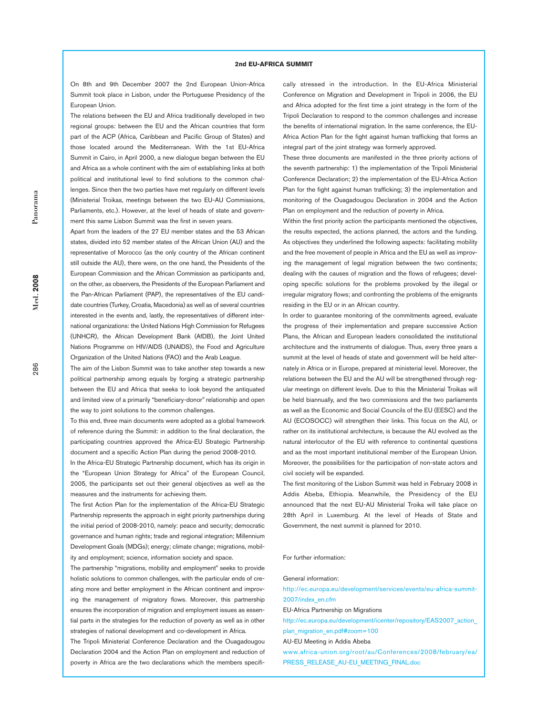#### **2nd EU-AFRICA SUMMIT**

On 8th and 9th December 2007 the 2nd European Union-Africa Summit took place in Lisbon, under the Portuguese Presidency of the European Union.

The relations between the EU and Africa traditionally developed in two regional groups: between the EU and the African countries that form part of the ACP (Africa, Caribbean and Pacific Group of States) and those located around the Mediterranean. With the 1st EU-Africa Summit in Cairo, in April 2000, a new dialogue began between the EU and Africa as a whole continent with the aim of establishing links at both political and institutional level to find solutions to the common challenges. Since then the two parties have met regularly on different levels (Ministerial Troikas, meetings between the two EU-AU Commissions, Parliaments, etc.). However, at the level of heads of state and government this same Lisbon Summit was the first in seven years.

Apart from the leaders of the 27 EU member states and the 53 African states, divided into 52 member states of the African Union (AU) and the representative of Morocco (as the only country of the African continent still outside the AU), there were, on the one hand, the Presidents of the European Commission and the African Commission as participants and, on the other, as observers, the Presidents of the European Parliament and the Pan-African Parliament (PAP), the representatives of the EU candidate countries (Turkey, Croatia, Macedonia) as well as of several countries interested in the events and, lastly, the representatives of different international organizations: the United Nations High Commission for Refugees (UNHCR), the African Development Bank (AfDB), the Joint United Nations Programme on HIV/AIDS (UNAIDS), the Food and Agriculture Organization of the United Nations (FAO) and the Arab League.

The aim of the Lisbon Summit was to take another step towards a new political partnership among equals by forging a strategic partnership between the EU and Africa that seeks to look beyond the antiquated and limited view of a primarily "beneficiary-donor" relationship and open the way to joint solutions to the common challenges.

To this end, three main documents were adopted as a global framework of reference during the Summit: in addition to the final declaration, the participating countries approved the Africa-EU Strategic Partnership document and a specific Action Plan during the period 2008-2010.

In the Africa-EU Strategic Partnership document, which has its origin in the "European Union Strategy for Africa" of the European Council, 2005, the participants set out their general objectives as well as the measures and the instruments for achieving them.

The first Action Plan for the implementation of the Africa-EU Strategic Partnership represents the approach in eight priority partnerships during the initial period of 2008-2010, namely: peace and security; democratic governance and human rights; trade and regional integration; Millennium Development Goals (MDGs); energy; climate change; migrations, mobility and employment; science, information society and space.

The partnership "migrations, mobility and employment" seeks to provide holistic solutions to common challenges, with the particular ends of creating more and better employment in the African continent and improving the management of migratory flows. Moreover, this partnership ensures the incorporation of migration and employment issues as essential parts in the strategies for the reduction of poverty as well as in other strategies of national development and co-development in Africa.

The Tripoli Ministerial Conference Declaration and the Ouagadougou Declaration 2004 and the Action Plan on employment and reduction of poverty in Africa are the two declarations which the members specifically stressed in the introduction. In the EU-Africa Ministerial Conference on Migration and Development in Tripoli in 2006, the EU and Africa adopted for the first time a joint strategy in the form of the Tripoli Declaration to respond to the common challenges and increase the benefits of international migration. In the same conference, the EU-Africa Action Plan for the fight against human trafficking that forms an integral part of the joint strategy was formerly approved.

These three documents are manifested in the three priority actions of the seventh partnership: 1) the implementation of the Tripoli Ministerial Conference Declaration; 2) the implementation of the EU-Africa Action Plan for the fight against human trafficking; 3) the implementation and monitoring of the Ouagadougou Declaration in 2004 and the Action Plan on employment and the reduction of poverty in Africa.

Within the first priority action the participants mentioned the objectives, the results expected, the actions planned, the actors and the funding. As objectives they underlined the following aspects: facilitating mobility and the free movement of people in Africa and the EU as well as improving the management of legal migration between the two continents; dealing with the causes of migration and the flows of refugees; developing specific solutions for the problems provoked by the illegal or irregular migratory flows; and confronting the problems of the emigrants residing in the EU or in an African country.

In order to guarantee monitoring of the commitments agreed, evaluate the progress of their implementation and prepare successive Action Plans, the African and European leaders consolidated the institutional architecture and the instruments of dialogue. Thus, every three years a summit at the level of heads of state and government will be held alternately in Africa or in Europe, prepared at ministerial level. Moreover, the relations between the EU and the AU will be strengthened through regular meetings on different levels. Due to this the Ministerial Troikas will be held biannually, and the two commissions and the two parliaments as well as the Economic and Social Councils of the EU (EESC) and the AU (ECOSOCC) will strengthen their links. This focus on the AU, or rather on its institutional architecture, is because the AU evolved as the natural interlocutor of the EU with reference to continental questions and as the most important institutional member of the European Union. Moreover, the possibilities for the participation of non-state actors and civil society will be expanded.

The first monitoring of the Lisbon Summit was held in February 2008 in Addis Abeba, Ethiopia. Meanwhile, the Presidency of the EU announced that the next EU-AU Ministerial Troika will take place on 28th April in Luxemburg. At the level of Heads of State and Government, the next summit is planned for 2010.

#### For further information:

#### General information:

http://ec.europa.eu/development/services/events/eu-africa-summit-2007/index\_en.cfm

EU-Africa Partnership on Migrations

http://ec.europa.eu/development/icenter/repository/EAS2007\_action\_ plan\_migration\_en.pdf#zoom=100

AU-EU Meeting in Addis Abeba

www.africa-union.org/root/au/Conferences/2008/february/ea/ PRESS\_RELEASE\_AU-EU\_MEETING\_FINAL.doc

**Med. 2008**

 $Med.2008$